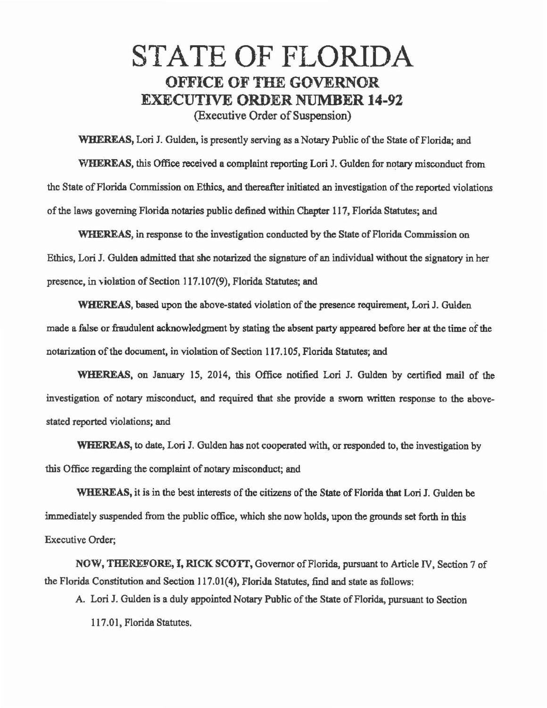## STATE OF FLORIDA OFFICE OF THE GOVERNOR EXECUTIVE ORDER NUMBER 14-92 (Executive Order of Suspension)

WHEREAS, Lori J. Gulden, is presently serving as a Notary Public of the State of Florida; and WHEREAS, this Office received a complaint reporting Lori J. Gulden for notary misconduct from the State of Florida Commission on Ethics, and thereafter initiated an investigation of the reported violations of the laws governing Florida notaries public defined within Chapter 117, Florida Statutes; and

WHEREAS, in response to the investigation conducted by the State of Florida Commission on Ethics, Lori J. Gulden admitted that she notarized the signature of an individual without the signatory in her presence, in violation of Section 117.107(9), Florida Statutes; and

WHEREAS, based upon the above-stated violation of the presence requirement, Lori J. Gulden made a false or fraudulent acknowledgment by stating the absent party appeared before her at the time of the notarization of the document, in violation of Section 117.105, Florida Statutes; and

WHEREAS. on January 15, 2014, this Office notified Lori J. Gulden by certified mail of the investigation of notary misconduct, and required that she provide a sworn written response to the abovestated reported violations; and

WHEREAS, to date, Lori 1. Gulden has not cooperated with, or responded to, the investigation by this Office regarding the complaint of notary misconduct; and

WHEREAS, it is in the best interests of the citizens of the State of Florida that Lori J. Gulden be immediately suspended from the public office, which she now holds, upon the grounds set forth in this Executive Order;

NOV/, THEREFORE, I, RICK SCOTI', Governor of Florida, pursuant to Article IV, Section 7 of the Florida Constitution and Section 117.01(4), Florida Statutes, find and state as follows:

A. Lori J. Gulden is a duly appointed Notary Public of the State of Florida, pursuant to Section

117.01, Florida Statutes.